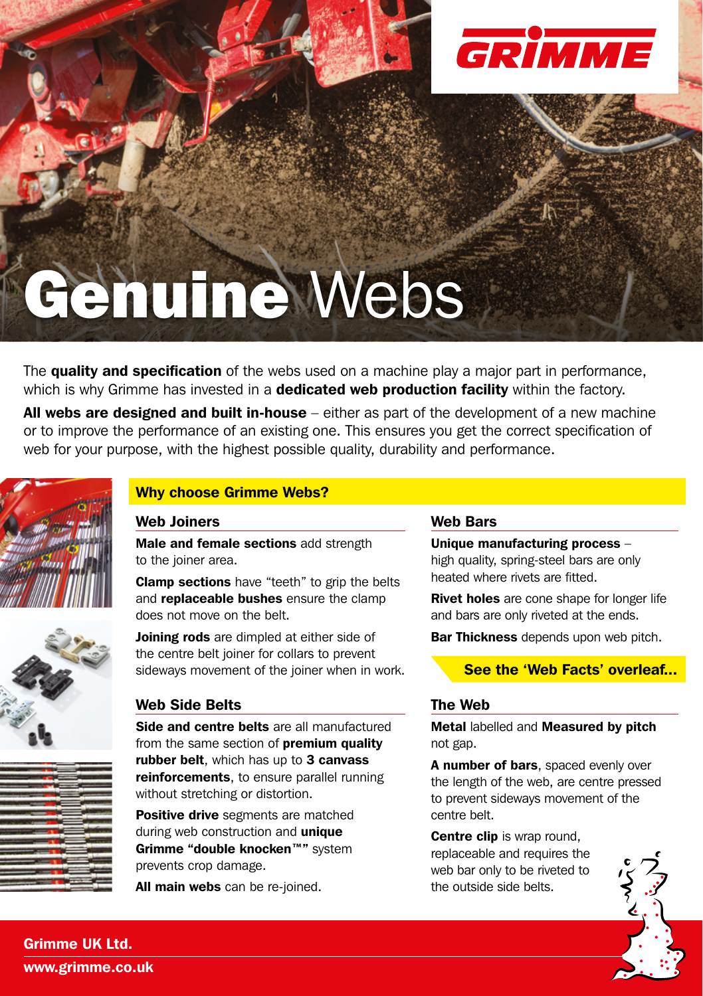

# Genuine Webs

The quality and specification of the webs used on a machine play a major part in performance, which is why Grimme has invested in a dedicated web production facility within the factory.

All webs are designed and built in-house – either as part of the development of a new machine or to improve the performance of an existing one. This ensures you get the correct specification of web for your purpose, with the highest possible quality, durability and performance.







# Why choose Grimme Webs?

### Web Joiners

Male and female sections add strength to the joiner area.

Clamp sections have "teeth" to grip the belts and **replaceable bushes** ensure the clamp does not move on the belt.

Joining rods are dimpled at either side of the centre belt joiner for collars to prevent sideways movement of the joiner when in work.

## Web Side Belts

Side and centre belts are all manufactured from the same section of **premium quality** rubber belt. which has up to 3 canvass reinforcements, to ensure parallel running without stretching or distortion.

Positive drive segments are matched during web construction and unique Grimme "double knocken™" system prevents crop damage.

All main webs can be re-joined.

### Web Bars

Unique manufacturing process – high quality, spring-steel bars are only heated where rivets are fitted.

**Rivet holes** are cone shape for longer life and bars are only riveted at the ends.

Bar Thickness depends upon web pitch.

## See the 'Web Facts' overleaf...

# The Web

Metal labelled and Measured by pitch not gap.

A number of bars, spaced evenly over the length of the web, are centre pressed to prevent sideways movement of the centre belt.

Centre clip is wrap round, replaceable and requires the web bar only to be riveted to the outside side belts.



Grimme UK Ltd. www.grimme.co.uk